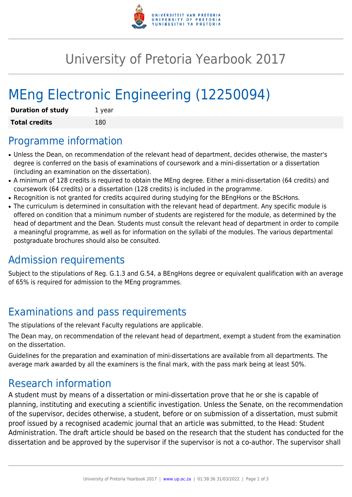

## University of Pretoria Yearbook 2017

# MEng Electronic Engineering (12250094)

| <b>Duration of study</b> | 1 year |
|--------------------------|--------|
| <b>Total credits</b>     | 180    |

#### Programme information

- Unless the Dean, on recommendation of the relevant head of department, decides otherwise, the master's degree is conferred on the basis of examinations of coursework and a mini-dissertation or a dissertation (including an examination on the dissertation).
- A minimum of 128 credits is required to obtain the MEng degree. Either a mini-dissertation (64 credits) and coursework (64 credits) or a dissertation (128 credits) is included in the programme.
- Recognition is not granted for credits acquired during studying for the BEngHons or the BScHons.
- The curriculum is determined in consultation with the relevant head of department. Any specific module is offered on condition that a minimum number of students are registered for the module, as determined by the head of department and the Dean. Students must consult the relevant head of department in order to compile a meaningful programme, as well as for information on the syllabi of the modules. The various departmental postgraduate brochures should also be consulted.

## Admission requirements

Subject to the stipulations of Reg. G.1.3 and G.54, a BEngHons degree or equivalent qualification with an average of 65% is required for admission to the MEng programmes.

## Examinations and pass requirements

The stipulations of the relevant Faculty regulations are applicable.

The Dean may, on recommendation of the relevant head of department, exempt a student from the examination on the dissertation.

Guidelines for the preparation and examination of mini-dissertations are available from all departments. The average mark awarded by all the examiners is the final mark, with the pass mark being at least 50%.

#### Research information

A student must by means of a dissertation or mini-dissertation prove that he or she is capable of planning, instituting and executing a scientific investigation. Unless the Senate, on the recommendation of the supervisor, decides otherwise, a student, before or on submission of a dissertation, must submit proof issued by a recognised academic journal that an article was submitted, to the Head: Student Administration. The draft article should be based on the research that the student has conducted for the dissertation and be approved by the supervisor if the supervisor is not a co-author. The supervisor shall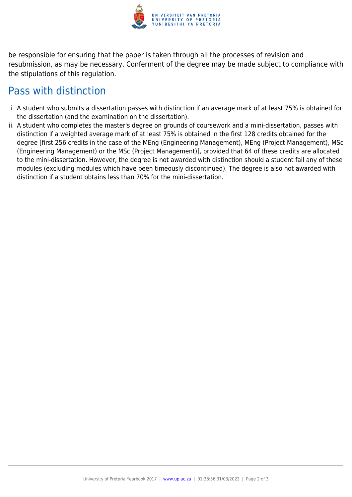

be responsible for ensuring that the paper is taken through all the processes of revision and resubmission, as may be necessary. Conferment of the degree may be made subject to compliance with the stipulations of this regulation.

#### Pass with distinction

- i. A student who submits a dissertation passes with distinction if an average mark of at least 75% is obtained for the dissertation (and the examination on the dissertation).
- ii. A student who completes the master's degree on grounds of coursework and a mini-dissertation, passes with distinction if a weighted average mark of at least 75% is obtained in the first 128 credits obtained for the degree [first 256 credits in the case of the MEng (Engineering Management), MEng (Project Management), MSc (Engineering Management) or the MSc (Project Management)], provided that 64 of these credits are allocated to the mini-dissertation. However, the degree is not awarded with distinction should a student fail any of these modules (excluding modules which have been timeously discontinued). The degree is also not awarded with distinction if a student obtains less than 70% for the mini-dissertation.